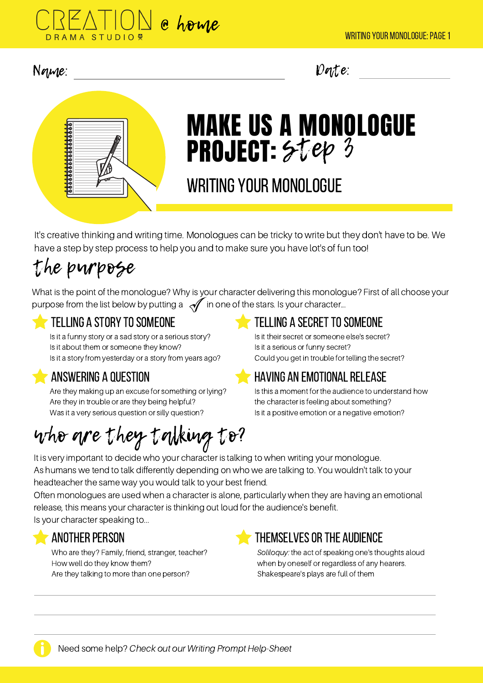

## Name: Date:



# MAKE US A MONOLOGUE PROJECT:  $5$ tep 3

# WRITING YOUR MONOLOGUE

It's creative thinking and writing time. Monologues can be tricky to write but they don't have to be. We have a step by step process to help you and to make sure you have lot's of fun too!

# the purpose

What is the point of the monologue? Why is your character delivering this monologue? First of all choose your purpose from the list below by putting a  $\mathcal A$  in one of the stars. Is your character...

## telling a story to someone the telling a secret to someone

Is it a funny story or a sad story or a serious story? Is it about them or someone they know? Is it a story from yesterday or a story from years ago?

## answering a question

Are they making up an excuse for something or lying? Are they in trouble or are they being helpful? Was it a very serious question or silly question?

### Is it their secret or someone else's secret? Is it a serious or funny secret? Could you get in trouble for telling the secret?

## having an emotionalrelease

Is this a moment for the audience to understand how the character is feeling about something? Is it a positive emotion or a negative emotion?

# who are they talking to?

It is very important to decide who your character is talking to when writing your monologue. As humans we tend to talk differently depending on who we are talking to. You wouldn't talk to your headteacher the same way you would talk to your best friend.

Often monologues are used when a character is alone, particularly when they are having an emotional release, this means your character is thinking out loud for the audience's benefit.

Is your character speaking to...

Who are they? Family, friend, stranger, teacher? How well do they know them? Are they talking to more than one person?



## another person themselves or the audience

Soliloquy: the act of speaking one's thoughts aloud when by oneself or regardless of any hearers. Shakespeare's plays are full of them



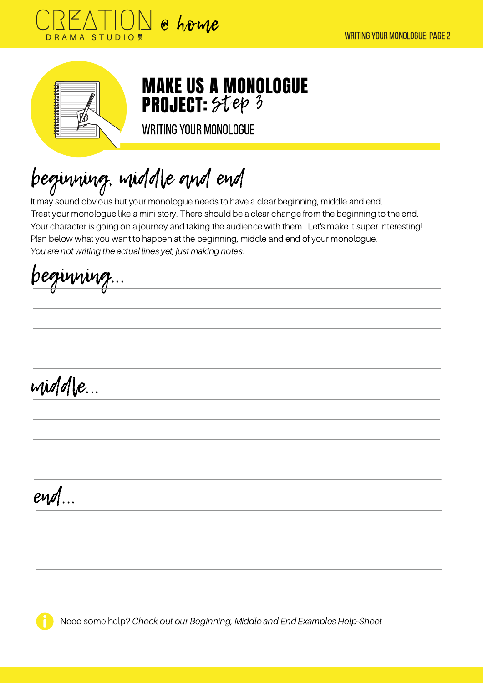



MAKE US A MONOLOGUE **PROJECT:** Step 3

WRITING YOUR MONOLOGUE

beginning, middle and end

It may sound obvious but your monologue needs to have a clear beginning, middle and end. Treat your monologue like a mini story. There should be a clear change from the beginning to the end. Your character is going on a journey and taking the audience with them. Let's make it super interesting! Plan below what you want to happen at the beginning, middle and end of your monologue. You are not writing the actual lines yet, just making notes.

beginning...

middle...

end...

Need some help? Check out our Beginning, Middle and End Examples Help-Sheet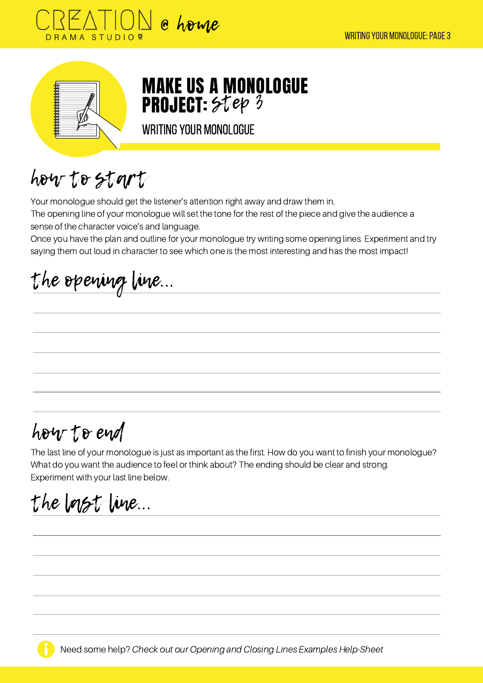



MAKE US A MONOLOGUE **PROJECT:** Step 3

WRITING YOUR MONOLOGUE

how to start

Your monologue should get the listener's attention right away and draw them in.

The opening line of your monologue will set the tone for the rest of the piece and give the audience a sense of the character voice's and language.

Once you have the plan and outline for your monologue try writing some opening lines. Experiment and try saying them out loud in character to see which one is the most interesting and has the most impact!

the opening line...

# how to end

The last line of your monologue is just as important as the first. How do you want to finish your monologue? What do you want the audience to feel or think about? The ending should be clear and strong. Experiment with your last line below.

the last line...

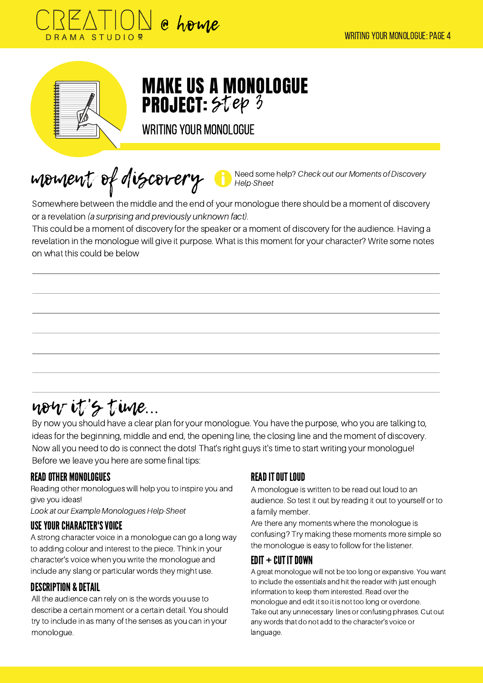



# MAKE US A MONOLOGUE **PROJECT:** Step 3

WRITING YOUR MONOLOGUE

moment of discovery

Need some help? Check out our Moments of Discovery Help-Sheet

Somewhere between the middle and the end of your monologue there should be a moment of discovery or a revelation (a surprising and previously unknown fact).

This could be a moment of discovery for the speaker or a moment of discovery for the audience. Having a revelation in the monologue will give it purpose. What is this moment for your character? Write some notes on what this could be below

# now it's time...

By now you should have a clear plan for your monologue. You have the purpose, who you are talking to, ideas for the beginning, middle and end, the opening line, the closing line and the moment of discovery. Now all you need to do is connect the dots! That's right guys it's time to start writing your monologue! Before we leave you here are some final tips:

### READOTHER MONOLOGUES

Reading other monologues will help you to inspire you and give you ideas!

Look at our Example Monologues Help-Sheet

### USEYOURCHARACTER'SVOICE

A strong character voice in a monologue can go a long way to adding colour and interest to the piece. Think in your character's voice when you write the monologue and include any slang or particular words they might use.

### DESCRIPTION & DETAIL

All the audience can rely on is the words you use to describe a certain moment or a certain detail. You should try to include in as many of the senses as you can in your monologue.

## **READ IT OUT LOUD**

A monologue is written to be read out loud to an audience. So test it out by reading it out to yourself or to a family member.

Are there any moments where the monologue is confusing? Try making these moments more simple so the monologue is easy to follow for the listener.

### $E$ DIT + CUT IT DOWN

A great monologue will not be too long or expansive. You want to include the essentials and hit the reader with just enough information to keep them interested. Read over the monologue and edit it so it is not too long or overdone. Take out any unnecessary lines or confusing phrases. Cut out any words that do not add to the character's voice or language.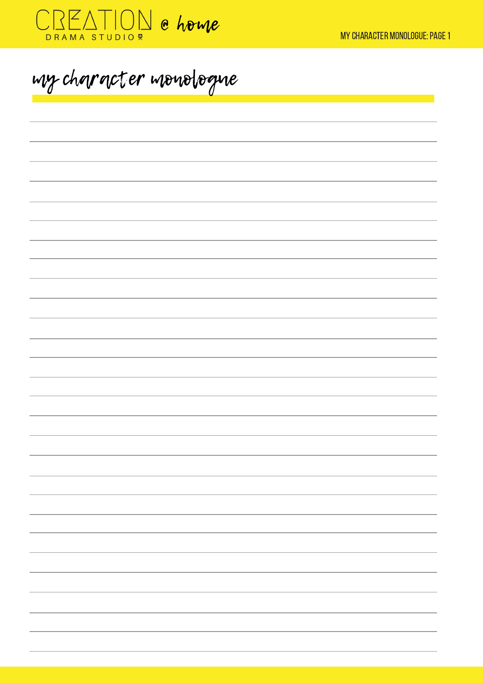

my character monologue